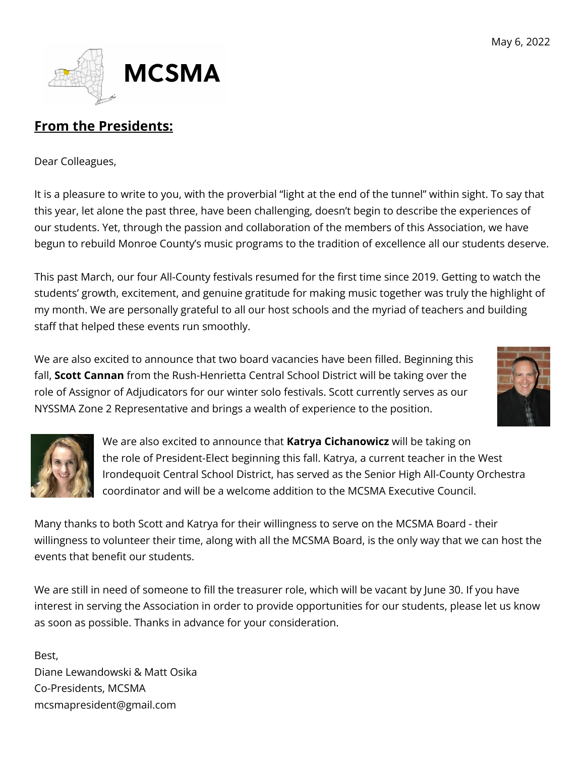

# **From the Presidents:**

Dear Colleagues,

It is a pleasure to write to you, with the proverbial "light at the end of the tunnel" within sight. To say that this year, let alone the past three, have been challenging, doesn't begin to describe the experiences of our students. Yet, through the passion and collaboration of the members of this Association, we have begun to rebuild Monroe County's music programs to the tradition of excellence all our students deserve.

This past March, our four All-County festivals resumed for the first time since 2019. Getting to watch the students' growth, excitement, and genuine gratitude for making music together was truly the highlight of my month. We are personally grateful to all our host schools and the myriad of teachers and building staff that helped these events run smoothly.

We are also excited to announce that two board vacancies have been filled. Beginning this fall, **Scott Cannan** from the Rush-Henrietta Central School District will be taking over the role of Assignor of Adjudicators for our winter solo festivals. Scott currently serves as our NYSSMA Zone 2 Representative and brings a wealth of experience to the position.





We are also excited to announce that **Katrya Cichanowicz** will be taking on the role of President-Elect beginning this fall. Katrya, a current teacher in the West Irondequoit Central School District, has served as the Senior High All-County Orchestra coordinator and will be a welcome addition to the MCSMA Executive Council.

Many thanks to both Scott and Katrya for their willingness to serve on the MCSMA Board - their willingness to volunteer their time, along with all the MCSMA Board, is the only way that we can host the events that benefit our students.

We are still in need of someone to fill the treasurer role, which will be vacant by June 30. If you have interest in serving the Association in order to provide opportunities for our students, please let us know as soon as possible. Thanks in advance for your consideration.

Best, Diane Lewandowski & Matt Osika Co-Presidents, MCSMA mcsmapresident@gmail.com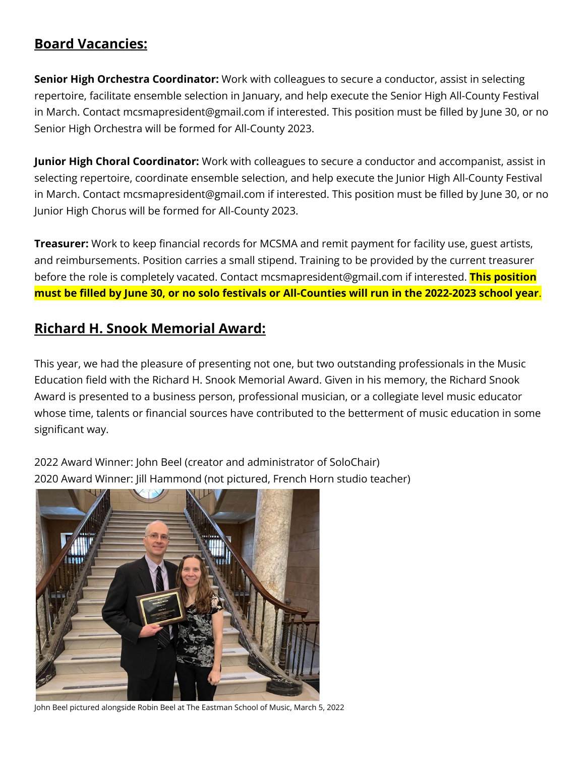#### **Board Vacancies:**

**Senior High Orchestra Coordinator:** Work with colleagues to secure a conductor, assist in selecting repertoire, facilitate ensemble selection in January, and help execute the Senior High All-County Festival in March. Contact mcsmapresident@gmail.com if interested. This position must be filled by June 30, or no Senior High Orchestra will be formed for All-County 2023.

**Junior High Choral Coordinator:** Work with colleagues to secure a conductor and accompanist, assist in selecting repertoire, coordinate ensemble selection, and help execute the Junior High All-County Festival in March. Contact mcsmapresident@gmail.com if interested. This position must be filled by June 30, or no Junior High Chorus will be formed for All-County 2023.

**Treasurer:** Work to keep financial records for MCSMA and remit payment for facility use, guest artists, and reimbursements. Position carries a small stipend. Training to be provided by the current treasurer before the role is completely vacated. Contact mcsmapresident@gmail.com if interested. **This position** must be filled by June 30, or no solo festivals or All-Counties will run in the 2022-2023 school year.

#### **Richard H. Snook Memorial Award:**

This year, we had the pleasure of presenting not one, but two outstanding professionals in the Music Education field with the Richard H. Snook Memorial Award. Given in his memory, the Richard Snook Award is presented to a business person, professional musician, or a collegiate level music educator whose time, talents or financial sources have contributed to the betterment of music education in some significant way.

2022 Award Winner: John Beel (creator and administrator of SoloChair) 2020 Award Winner: Jill Hammond (not pictured, French Horn studio teacher)



John Beel pictured alongside Robin Beel at The Eastman School of Music, March 5, 2022